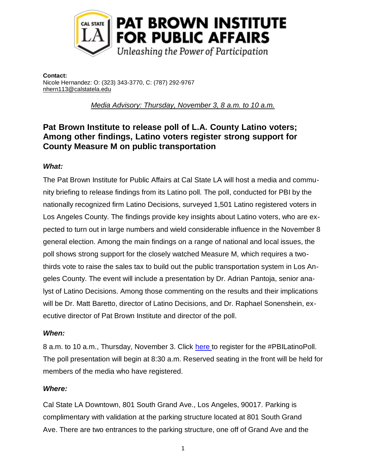

**Contact:** Nicole Hernandez: O: (323) 343-3770, C: (787) 292-9767 [nhern113@calstatela.edu](mailto:nhern113@calstatela.edu)

*Media Advisory: Thursday, November 3, 8 a.m. to 10 a.m.*

# **Pat Brown Institute to release poll of L.A. County Latino voters; Among other findings, Latino voters register strong support for County Measure M on public transportation**

## *What:*

The Pat Brown Institute for Public Affairs at Cal State LA will host a media and community briefing to release findings from its Latino poll. The poll, conducted for PBI by the nationally recognized firm Latino Decisions, surveyed 1,501 Latino registered voters in Los Angeles County. The findings provide key insights about Latino voters, who are expected to turn out in large numbers and wield considerable influence in the November 8 general election. Among the main findings on a range of national and local issues, the poll shows strong support for the closely watched Measure M, which requires a twothirds vote to raise the sales tax to build out the public transportation system in Los Angeles County. The event will include a presentation by Dr. Adrian Pantoja, senior analyst of Latino Decisions. Among those commenting on the results and their implications will be Dr. Matt Baretto, director of Latino Decisions, and Dr. Raphael Sonenshein, executive director of Pat Brown Institute and director of the poll.

### *When:*

8 a.m. to 10 a.m., Thursday, November 3. Click [here t](http://events.constantcontact.com/register/event?llr=r8xpj8dab&oeidk=a07ede8daae0039381f)o register for the #PBILatinoPoll. The poll presentation will begin at 8:30 a.m. Reserved seating in the front will be held for members of the media who have registered.

### *Where:*

Cal State LA Downtown, 801 South Grand Ave., Los Angeles, 90017. Parking is complimentary with validation at the parking structure located at 801 South Grand Ave. There are two entrances to the parking structure, one off of Grand Ave and the